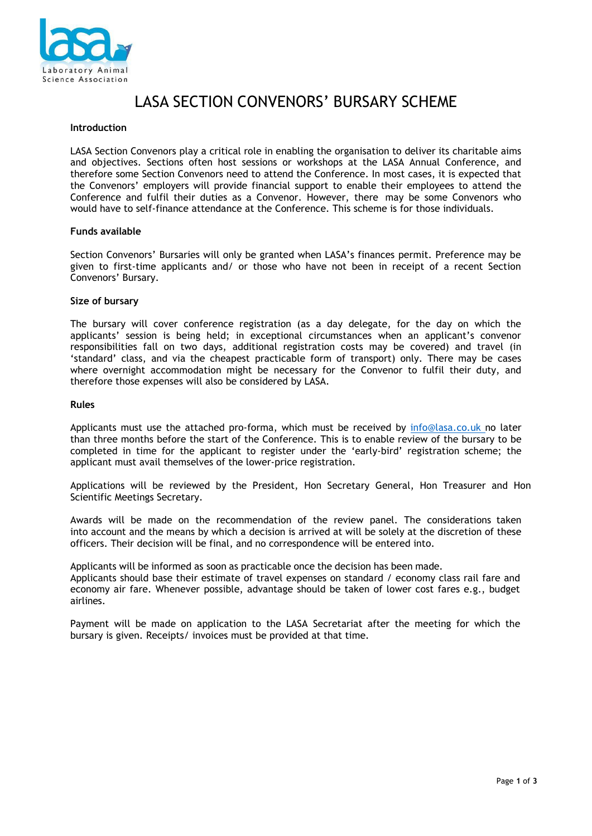

# LASA SECTION CONVENORS' BURSARY SCHEME

#### **Introduction**

LASA Section Convenors play a critical role in enabling the organisation to deliver its charitable aims and objectives. Sections often host sessions or workshops at the LASA Annual Conference, and therefore some Section Convenors need to attend the Conference. In most cases, it is expected that the Convenors' employers will provide financial support to enable their employees to attend the Conference and fulfil their duties as a Convenor. However, there may be some Convenors who would have to self-finance attendance at the Conference. This scheme is for those individuals.

#### **Funds available**

Section Convenors' Bursaries will only be granted when LASA's finances permit. Preference may be given to first-time applicants and/ or those who have not been in receipt of a recent Section Convenors' Bursary.

#### **Size of bursary**

The bursary will cover conference registration (as a day delegate, for the day on which the applicants' session is being held; in exceptional circumstances when an applicant's convenor responsibilities fall on two days, additional registration costs may be covered) and travel (in 'standard' class, and via the cheapest practicable form of transport) only. There may be cases where overnight accommodation might be necessary for the Convenor to fulfil their duty, and therefore those expenses will also be considered by LASA.

#### **Rules**

Applicants must use the attached pro-forma, which must be received by [info@lasa.co.uk](mailto:info@lasa.co.uk) no later than three months before the start of the Conference. This is to enable review of the bursary to be completed in time for the applicant to register under the 'early-bird' registration scheme; the applicant must avail themselves of the lower-price registration.

Applications will be reviewed by the President, Hon Secretary General, Hon Treasurer and Hon Scientific Meetings Secretary.

Awards will be made on the recommendation of the review panel. The considerations taken into account and the means by which a decision is arrived at will be solely at the discretion of these officers. Their decision will be final, and no correspondence will be entered into.

Applicants will be informed as soon as practicable once the decision has been made.

Applicants should base their estimate of travel expenses on standard / economy class rail fare and economy air fare. Whenever possible, advantage should be taken of lower cost fares e.g., budget airlines.

Payment will be made on application to the LASA Secretariat after the meeting for which the bursary is given. Receipts/ invoices must be provided at that time.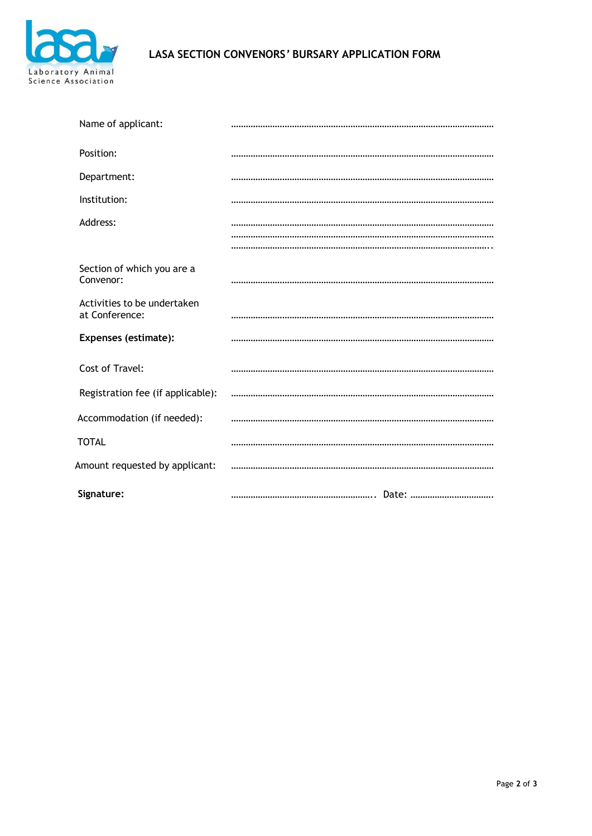

# **LASA SECTION CONVENORS***'* **BURSARY APPLICATION FORM**

| Name of applicant:                            |  |
|-----------------------------------------------|--|
| Position:                                     |  |
| Department:                                   |  |
| Institution:                                  |  |
| Address:                                      |  |
|                                               |  |
| Section of which you are a<br>Convenor:       |  |
| Activities to be undertaken<br>at Conference: |  |
| <b>Expenses (estimate):</b>                   |  |
| Cost of Travel:                               |  |
| Registration fee (if applicable):             |  |
| Accommodation (if needed):                    |  |
| <b>TOTAL</b>                                  |  |
| Amount requested by applicant:                |  |
| Signature:                                    |  |